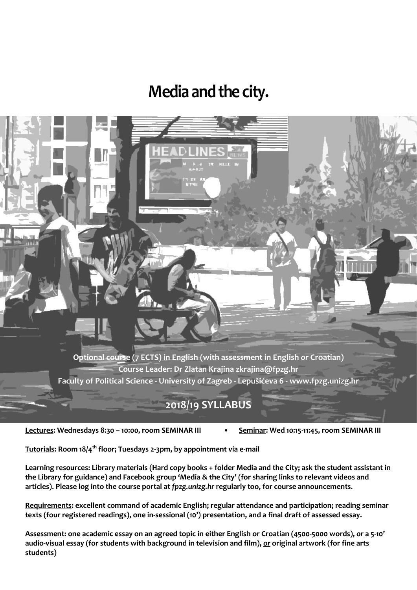# **Media** and the city.

**Optional course (7 ECTS) in English (with assessment in English** *or* **Croatian) Course Leader: Dr Zlatan Krajina zkrajina@fpzg.hr Faculty of Political Science - University of Zagreb - Lepušićeva 6 - www.fpzg.unizg.hr**

## **2018/19 SYLLABUS**

**Lectures: Wednesdays 8:30 – 10:00, room SEMINAR III • Seminar: Wed 10:15-11:45, room SEMINAR III**

**Tutorials: Room 18/4th floor; Tuesdays 2-3pm, by appointment via e-mail**

**Learning resources: Library materials (Hard copy books + folder Media and the City; ask the student assistant in the Library for guidance) and Facebook group 'Media & the City' (for sharing links to relevant videos and articles). Please log into the course portal at** *fpzg.unizg.hr* **regularly too, for course announcements.**

**Requirements: excellent command of academic English; regular attendance and participation; reading seminar texts (four registered readings), one in-sessional (10') presentation, and a final draft of assessed essay.**

**Assessment: one academic essay on an agreed topic in either English or Croatian (4500-5000 words),** *or* **a 5-10' audio-visual essay (for students with background in television and film),** *or* **original artwork (for fine arts students)**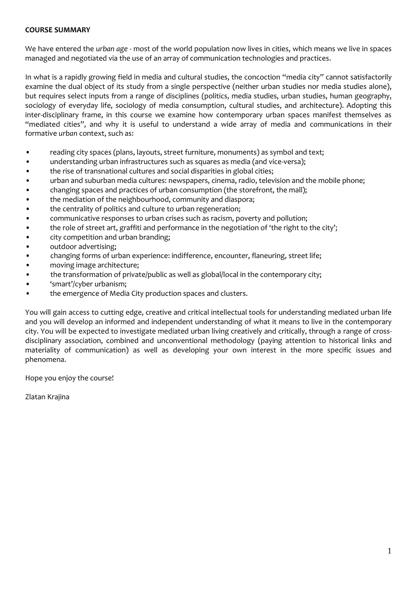#### **COURSE SUMMARY**

We have entered the *urban age* - most of the world population now lives in cities, which means we live in spaces managed and negotiated via the use of an array of communication technologies and practices.

In what is a rapidly growing field in media and cultural studies, the concoction "media city" cannot satisfactorily examine the dual object of its study from a single perspective (neither urban studies nor media studies alone), but requires select inputs from a range of disciplines (politics, media studies, urban studies, human geography, sociology of everyday life, sociology of media consumption, cultural studies, and architecture). Adopting this inter-disciplinary frame, in this course we examine how contemporary urban spaces manifest themselves as "mediated cities", and why it is useful to understand a wide array of media and communications in their formative *urban* context, such as:

- reading city spaces (plans, layouts, street furniture, monuments) as symbol and text;
- understanding urban infrastructures such as squares as media (and vice-versa);
- the rise of transnational cultures and social disparities in global cities;
- urban and suburban media cultures: newspapers, cinema, radio, television and the mobile phone;
- changing spaces and practices of urban consumption (the storefront, the mall);
- the mediation of the neighbourhood, community and diaspora;
- the centrality of politics and culture to urban regeneration;
- communicative responses to urban crises such as racism, poverty and pollution;
- the role of street art, graffiti and performance in the negotiation of 'the right to the city';
- city competition and urban branding;
- outdoor advertising;
- changing forms of urban experience: indifference, encounter, flaneuring, street life;
- moving image architecture;
- the transformation of private/public as well as global/local in the contemporary city;
- 'smart'/cyber urbanism;
- the emergence of Media City production spaces and clusters.

You will gain access to cutting edge, creative and critical intellectual tools for understanding mediated urban life and you will develop an informed and independent understanding of what it means to live in the contemporary city. You will be expected to investigate mediated urban living creatively and critically, through a range of crossdisciplinary association, combined and unconventional methodology (paying attention to historical links and materiality of communication) as well as developing your own interest in the more specific issues and phenomena.

Hope you enjoy the course!

Zlatan Krajina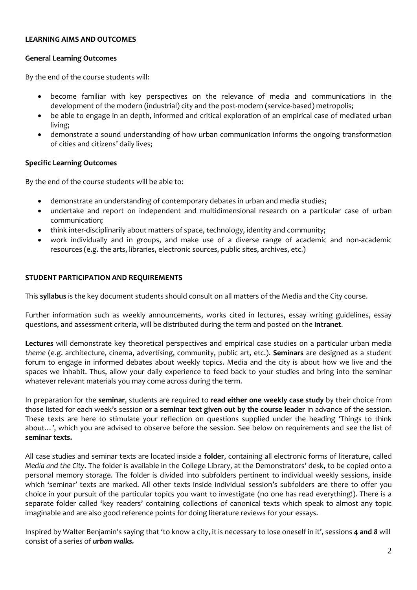#### **LEARNING AIMS AND OUTCOMES**

## **General Learning Outcomes**

By the end of the course students will:

- become familiar with key perspectives on the relevance of media and communications in the development of the modern (industrial) city and the post-modern (service-based) metropolis;
- be able to engage in an depth, informed and critical exploration of an empirical case of mediated urban living;
- demonstrate a sound understanding of how urban communication informs the ongoing transformation of cities and citizens' daily lives;

## **Specific Learning Outcomes**

By the end of the course students will be able to:

- demonstrate an understanding of contemporary debates in urban and media studies;
- undertake and report on independent and multidimensional research on a particular case of urban communication;
- think inter-disciplinarily about matters of space, technology, identity and community;
- work individually and in groups, and make use of a diverse range of academic and non-academic resources (e.g. the arts, libraries, electronic sources, public sites, archives, etc.)

## **STUDENT PARTICIPATION AND REQUIREMENTS**

This **syllabus** is the key document students should consult on all matters of the Media and the City course.

Further information such as weekly announcements, works cited in lectures, essay writing guidelines, essay questions, and assessment criteria, will be distributed during the term and posted on the **Intranet**.

**Lectures** will demonstrate key theoretical perspectives and empirical case studies on a particular urban media *theme* (e.g. architecture, cinema, advertising, community, public art, etc.). **Seminars** are designed as a student forum to engage in informed debates about weekly topics. Media and the city is about how we live and the spaces we inhabit. Thus, allow your daily experience to feed back to your studies and bring into the seminar whatever relevant materials you may come across during the term.

In preparation for the **seminar**, students are required to **read either one weekly case study** by their choice from those listed for each week's session **or a seminar text given out by the course leader** in advance of the session. These texts are here to stimulate your reflection on questions supplied under the heading 'Things to think about…', which you are advised to observe before the session. See below on requirements and see the list of **seminar texts.**

All case studies and seminar texts are located inside a **folder**, containing all electronic forms of literature, called *Media and the City*. The folder is available in the College Library, at the Demonstrators' desk, to be copied onto a personal memory storage. The folder is divided into subfolders pertinent to individual weekly sessions, inside which 'seminar' texts are marked. All other texts inside individual session's subfolders are there to offer you choice in your pursuit of the particular topics you want to investigate (no one has read everything!). There is a separate folder called 'key readers' containing collections of canonical texts which speak to almost any topic imaginable and are also good reference points for doing literature reviews for your essays.

Inspired by Walter Benjamin's saying that 'to know a city, it is necessary to lose oneself in it', sessions **4 and** *8* will consist of a series of *urban walks.*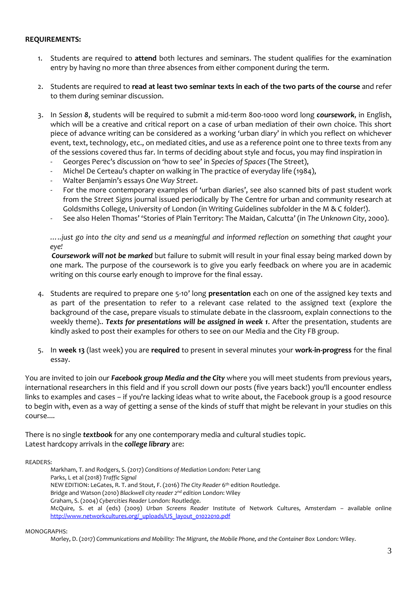#### **REQUIREMENTS:**

- 1. Students are required to **attend** both lectures and seminars. The student qualifies for the examination entry by having no more than *three* absences from either component during the term.
- 2. Students are required to **read at least two seminar texts in each of the two parts of the course** and refer to them during seminar discussion.
- 3. In *Session 8*, students will be required to submit a mid-term 800-1000 word long *coursework*, in English, which will be a creative and critical report on a case of urban mediation of their own choice. This short piece of advance writing can be considered as a working 'urban diary' in which you reflect on whichever event, text, technology, etc., on mediated cities, and use as a reference point one to three texts from any of the sessions covered thus far. In terms of deciding about style and focus, you may find inspiration in
	- Georges Perec's discussion on 'how to see' in *Species of Spaces* (The Street),
	- Michel De Certeau's chapter on walking in The practice of everyday life (1984),
	- Walter Benjamin's essays *One Way Street*.
	- For the more contemporary examples of 'urban diaries', see also scanned bits of past student work from the *Street Signs* journal issued periodically by The Centre for urban and community research at Goldsmiths College, University of London (in Writing Guidelines subfolder in the M & C folder!).
	- See also Helen Thomas' 'Stories of Plain Territory: The Maidan, Calcutta' (in *The Unknown City*, 2000).

*…..just go into the city and send us a meaningful and informed reflection on something that caught your eye!*

*Coursework will not be marked* but failure to submit will result in your final essay being marked down by one mark. The purpose of the coursework is to give you early feedback on where you are in academic writing on this course early enough to improve for the final essay.

- 4. Students are required to prepare one 5-10' long **presentation** each on one of the assigned key texts and as part of the presentation to refer to a relevant case related to the assigned text (explore the background of the case, prepare visuals to stimulate debate in the classroom, explain connections to the weekly theme).. *Texts for presentations will be assigned in week 1*. After the presentation, students are kindly asked to post their examples for others to see on our Media and the City FB group.
- 5. In **week 13** (last week) you are **required** to present in several minutes your **work-in-progress** for the final essay.

You are invited to join our *Facebook group Media and the City* where you will meet students from previous years, international researchers in this field and if you scroll down our posts (five years back!) you'll encounter endless links to examples and cases – if you're lacking ideas what to write about, the Facebook group is a good resource to begin with, even as a way of getting a sense of the kinds of stuff that might be relevant in your studies on this course....

There is no single *textbook* for any one contemporary media and cultural studies topic. Latest hardcopy arrivals in the *college library* are:

READERS:

Markham, T. and Rodgers, S. (2017) *Conditions of Mediation* London: Peter Lang Parks, L et al (2018) *Traffic Signal* NEW EDITION: LeGates, R. T. and Stout, F. (2016) *The City Reader* 6 th edition Routledge. Bridge and Watson (2010) *Blackwell city reader 2nd edition* London: Wiley Graham, S. (2004) *Cybercities Reader* London: Routledge. McQuire, S. et al (eds) (2009) *Urban Screens Reader* Institute of Network Cultures, Amsterdam – available online [http://www.networkcultures.org/\\_uploads/US\\_layout\\_01022010.pdf](http://www.networkcultures.org/_uploads/US_layout_01022010.pdf)

MONOGRAPHS:

Morley, D. (2017) *Communications and Mobility: The Migrant, the Mobile Phone, and the Container Box* London: Wiley.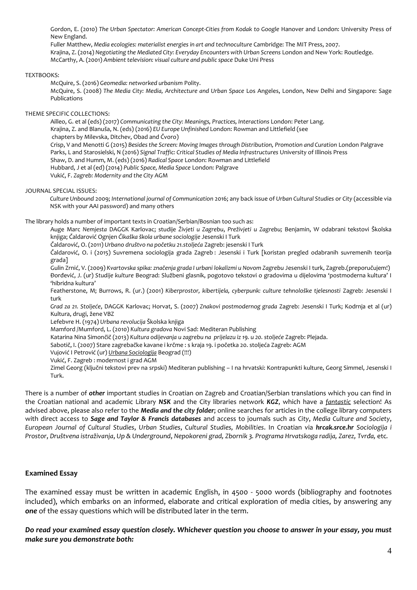Gordon, E. (2010) *The Urban Spectator: American Concept-Cities from Kodak to Google* Hanover and London: University Press of New England.

Fuller Matthew, *Media ecologies: materialist energies in art and technoculture Cambridge: The MIT Press, 2007.* Krajina, Z. (2014) *Negotiating the Mediated City: Everyday Encounters with Urban Screens* London and New York: Routledge. McCarthy, A. (2001) *Ambient television: visual culture and public space* Duke Uni Press

#### TEXTBOOKS:

McQuire, S. (2016) *Geomedia: networked urbanism* Polity.

McQuire, S. (2008) *The Media City: Media, Architecture and Urban Space* Los Angeles, London, New Delhi and Singapore: Sage Publications

#### THEME SPECIFIC COLLECTIONS:

Ailleo, G. et al (eds) (2017) *Communicating the City: Meanings, Practices, Interactions London: Peter Lang.* Krajina, Z. and Blanuša, N. (eds) (2016) *EU Europe Unfinished* London: Rowman and Littlefield (see chapters by Milevska, Ditchev, Obad and Čvoro) Crisp, V and Menotti G (2015) *Besides the Screen: Moving Images through Distribution, Promotion and Curation* London Palgrave Parks, L and Starosielski, N (2016) *Signal Traffic: Critical Studies of Media Infrastructures* University of Illinois Press Shaw, D. and Humm, M. (eds) (2016) *Radical Space* London: Rowman and Littlefield Hubbard, J et al (ed) (2014) *Public Space, Media Space* London: Palgrave Vukić, F. *Zagreb: Modernity and the City* AGM

#### JOURNAL SPECIAL ISSUES:

*Culture Unbound* 2009; *International journal of Communication* 2016; any back issue of *Urban Cultural Studies* or *City* (accessible via NSK with your AAI password) and many others

#### The library holds a number of important texts in Croatian/Serbian/Bosnian too such as:

Auge Marc *Nemjesta* DAGGK Karlovac; studije *Živjeti u Zagrebu*, *Preživjeti u Zagrebu;* Benjamin, W odabrani tekstovi Školska knjiga; Čaldarović Ognjen *Čikaška škola urbane sociologije* Jesenski I Turk

Čaldarović, O. (2011) *Urbano društvo na početku 21.stoljeća* Zagreb: jesenski I Turk

Čaldarović, O. i (2015) Suvremena sociologija grada Zagreb : Jesenski i Turk [koristan pregled odabranih suvremenih teorija grada]

Gulin Zrnić, V. (2009) *Kvartovska spika: značenja grada I urbani lokalizmi u Novom Zagrebu* Jesenski I turk, Zagreb.(preporučujem!) Đorđević, J. (ur) *Studije kulture* Beograd: Službeni glasnik, pogotovo tekstovi o gradovima u dijelovima 'postmoderna kultura' I 'hibridna kultura'

Featherstone, M; Burrows, R. (ur.) (2001) *Kiberprostor, kibertijela, cyberpunk: culture tehnološke tjelesnosti* Zagreb: Jesenski I turk

*Grad za 21. Stoljeće*, DAGGK Karlovac; Horvat, S. (2007) *Znakovi postmodernog grada* Zagreb: Jesenski I Turk; Kodrnja et al (ur) Kultura, drugi, žene VBZ

Lefebvre H. (1974) *Urbana revolucija* Školska knjiga

Mamford /Mumford, L. (2010) *Kultura gradova* Novi Sad: Mediteran Publishing

Katarina Nina Simončič (2013) *Kultura odijevanja u zagrebu na prijelazu iz 19. u 20. stoljeće* Zagreb: Plejada.

Sabotič, I. (2007) Stare zagrebačke kavane i krčme : s kraja 19. i početka 20. stoljeća Zagreb: AGM

Vujović I Petrović (ur) *Urbana Sociologija* Beograd (!!!)

Vukić, F. Zagreb : modernost i grad AGM

Zimel Georg (ključni tekstovi prev na srpski) Mediteran publishing – I na hrvatski: Kontrapunkti kulture, Georg Simmel, Jesenski I Turk.

There is a number of *other* important studies in Croatian on Zagreb and Croatian/Serbian translations which you can find in the Croatian national and academic Library *NSK* and the City libraries network *KGZ*, which have a *fantastic* selection! As advised above, please also refer to the *Media and the city folder*; online searches for articles in the college library computers with direct access to *Sage and Taylor & Francis databases* and access to journals such as *City*, *Media Culture and Society*, *European Journal of Cultural Studies*, *Urban Studies*, *Cultural Studies, Mobilities*. In Croatian via *hrcak.srce.hr Sociologija i Prostor*, *Društvena istraživanja*, *Up & Underground*, *Nepokoreni grad, Zbornik 3. Programa Hrvatskoga radija, Zarez, Tvrđa,* etc*.*

#### **Examined Essay**

The examined essay must be written in academic English, in 4500 - 5000 words (bibliography and footnotes included), which embarks on an informed, elaborate and critical exploration of media cities, by answering any *one* of the essay questions which will be distributed later in the term.

*Do read your examined essay question closely. Whichever question you choose to answer in your essay, you must make sure you demonstrate both:*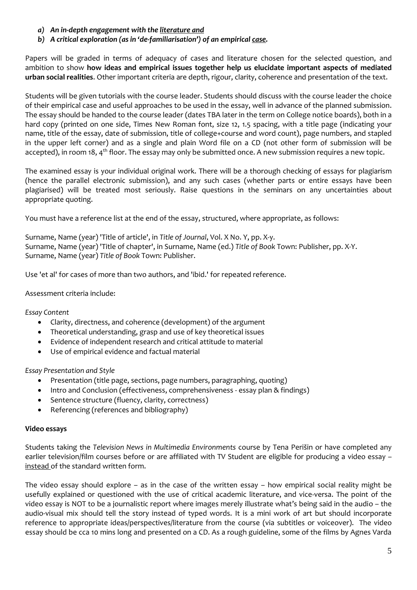- *a) An in-depth engagement with the literature and*
- *b) A critical exploration (as in 'de-familiarisation') of an empirical case.*

Papers will be graded in terms of adequacy of cases and literature chosen for the selected question, and ambition to show **how ideas and empirical issues together help us elucidate important aspects of mediated urban social realities**. Other important criteria are depth, rigour, clarity, coherence and presentation of the text.

Students will be given tutorials with the course leader. Students should discuss with the course leader the choice of their empirical case and useful approaches to be used in the essay, well in advance of the planned submission. The essay should be handed to the course leader (dates TBA later in the term on College notice boards), both in a hard copy (printed on one side, Times New Roman font, size 12, 1.5 spacing, with a title page (indicating your name, title of the essay, date of submission, title of college+course and word count), page numbers, and stapled in the upper left corner) and as a single and plain Word file on a CD (not other form of submission will be accepted), in room 18, 4<sup>th</sup> floor. The essay may only be submitted once. A new submission requires a new topic.

The examined essay is your individual original work. There will be a thorough checking of essays for plagiarism (hence the parallel electronic submission), and any such cases (whether parts or entire essays have been plagiarised) will be treated most seriously. Raise questions in the seminars on any uncertainties about appropriate quoting.

You must have a reference list at the end of the essay, structured, where appropriate, as follows:

Surname, Name (year) 'Title of article', in *Title of Journal*, Vol. X No. Y, pp. X-y. Surname, Name (year) 'Title of chapter', in Surname, Name (ed.) *Title of Book* Town: Publisher, pp. X-Y. Surname, Name (year) *Title of Book* Town: Publisher.

Use 'et al' for cases of more than two authors, and 'ibid.' for repeated reference.

## Assessment criteria include:

#### *Essay Content*

- Clarity, directness, and coherence (development) of the argument
- Theoretical understanding, grasp and use of key theoretical issues
- Evidence of independent research and critical attitude to material
- Use of empirical evidence and factual material

#### *Essay Presentation and Style*

- Presentation (title page, sections, page numbers, paragraphing, quoting)
- Intro and Conclusion (effectiveness, comprehensiveness essay plan & findings)
- Sentence structure (fluency, clarity, correctness)
- Referencing (references and bibliography)

#### **Video essays**

Students taking the *Television News in Multimedia Environments* course by Tena Perišin or have completed any earlier television/film courses before or are affiliated with TV Student are eligible for producing a video essay – instead of the standard written form.

The video essay should explore – as in the case of the written essay – how empirical social reality might be usefully explained or questioned with the use of critical academic literature, and vice-versa. The point of the video essay is NOT to be a journalistic report where images merely illustrate what's being said in the audio – the audio-visual mix should tell the story instead of typed words. It is a mini work of art but should incorporate reference to appropriate ideas/perspectives/literature from the course (via subtitles or voiceover). The video essay should be cca 10 mins long and presented on a CD. As a rough guideline, some of the films by Agnes Varda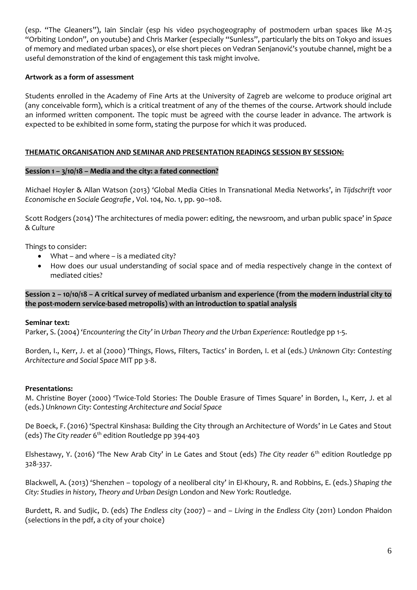(esp. "The Gleaners"), Iain Sinclair (esp his video psychogeography of postmodern urban spaces like M-25 "Orbiting London", on youtube) and Chris Marker (especially "Sunless", particularly the bits on Tokyo and issues of memory and mediated urban spaces), or else short pieces on Vedran Senjanović's youtube channel, might be a useful demonstration of the kind of engagement this task might involve.

## **Artwork as a form of assessment**

Students enrolled in the Academy of Fine Arts at the University of Zagreb are welcome to produce original art (any conceivable form), which is a critical treatment of any of the themes of the course. Artwork should include an informed written component. The topic must be agreed with the course leader in advance. The artwork is expected to be exhibited in some form, stating the purpose for which it was produced.

## **THEMATIC ORGANISATION AND SEMINAR AND PRESENTATION READINGS SESSION BY SESSION:**

#### **Session 1 – 3/10/18 – Media and the city: a fated connection?**

Michael Hoyler & Allan Watson (2013) 'Global Media Cities In Transnational Media Networks', in *Tijdschrift voor Economische en Sociale Geografie ,* Vol. 104, No. 1, pp. 90–108.

Scott Rodgers (2014) 'The architectures of media power: editing, the newsroom, and urban public space' in *Space & Culture*

Things to consider:

- What and where is a mediated city?
- How does our usual understanding of social space and of media respectively change in the context of mediated cities?

**Session 2 – 10/10/18 – A critical survey of mediated urbanism and experience (from the modern industrial city to the post-modern service-based metropolis) with an introduction to spatial analysis**

#### **Seminar text:**

Parker, S. (2004) '*Encountering the City'* in *Urban Theory and the Urban Experience:* Routledge pp 1-5.

Borden, I., Kerr, J. et al (2000) 'Things, Flows, Filters, Tactics' in Borden, I. et al (eds.) *Unknown City: Contesting Architecture and Social Space* MIT pp 3-8.

#### **Presentations:**

M. Christine Boyer (2000) 'Twice-Told Stories: The Double Erasure of Times Square' in Borden, I., Kerr, J. et al (eds.) *Unknown City: Contesting Architecture and Social Space*

De Boeck, F. (2016) 'Spectral Kinshasa: Building the City through an Architecture of Words' in Le Gates and Stout (eds) *The City reader* 6 th edition Routledge pp 394-403

Elshestawy, Y. (2016) 'The New Arab City' in Le Gates and Stout (eds) *The City reader* 6 th edition Routledge pp 328-337.

Blackwell, A. (2013) 'Shenzhen – topology of a neoliberal city' in El-Khoury, R. and Robbins, E. (eds.) *Shaping the City: Studies in history, Theory and Urban Desi*gn London and New York: Routledge.

Burdett, R. and Sudjic, D. (eds) *The Endless city* (2007) – and – *Living in the Endless City* (2011) London Phaidon (selections in the pdf, a city of your choice)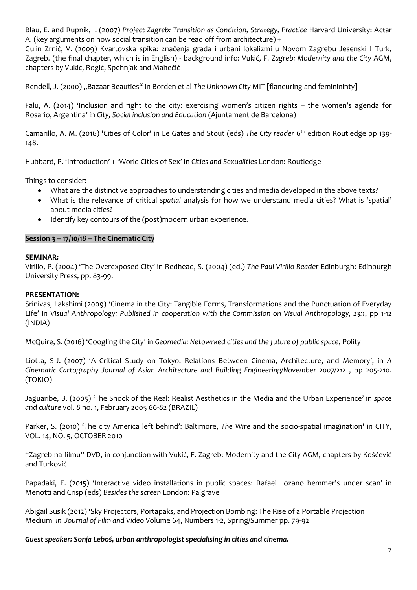Blau, E. and Rupnik, I. (2007) *Project Zagreb: Transition as Condition, Strategy, Practice* Harvard University: Actar A. (key arguments on how social transition can be read off from architecture) +

Gulin Zrnić, V. (2009) Kvartovska spika: značenja grada i urbani lokalizmi u Novom Zagrebu Jesenski I Turk, Zagreb. (the final chapter, which is in English) - background info: Vukić, F. *Zagreb: Modernity and the City* AGM, chapters by Vukić, Rogić, Spehnjak and Mahečić

Rendell, J. (2000) "Bazaar Beauties" in Borden et al The Unknown City MIT [flaneuring and feminininty]

Falu, A. (2014) 'Inclusion and right to the city: exercising women's citizen rights – the women's agenda for Rosario, Argentina' in *City, Social inclusion and Education* (Ajuntament de Barcelona)

Camarillo, A. M. (2016) 'Cities of Color' in Le Gates and Stout (eds) *The City reader* 6 th edition Routledge pp 139- 148.

Hubbard, P. 'Introduction' + 'World Cities of Sex' in *Cities and Sexualities* London: Routledge

Things to consider:

- What are the distinctive approaches to understanding cities and media developed in the above texts?
- What is the relevance of critical *spatial* analysis for how we understand media cities? What is 'spatial' about media cities?
- Identify key contours of the (post)modern urban experience.

#### **Session 3 – 17/10/18 – The Cinematic City**

#### **SEMINAR:**

Virilio, P. (2004) 'The Overexposed City' in Redhead, S. (2004) (ed.) *The Paul Virilio Reader* Edinburgh: Edinburgh University Press, pp. 83-99.

#### **PRESENTATION:**

Srinivas, Lakshimi (2009) 'Cinema in the City: Tangible Forms, Transformations and the Punctuation of Everyday Life' in *Visual Anthropology: Published in cooperation with the Commission on Visual Anthropology, 23:1*, pp 1-12 (INDIA)

McQuire, S. (2016) 'Googling the City' in *Geomedia: Netowrked cities and the future of public space*, Polity

Liotta, S-J. (2007) 'A Critical Study on Tokyo: Relations Between Cinema, Architecture, and Memory', in *A Cinematic Cartography Journal of Asian Architecture and Building Engineering/November 2007/212* , pp 205-210. (TOKIO)

Jaguaribe, B. (2005) 'The Shock of the Real: Realist Aesthetics in the Media and the Urban Experience' in *space and culture* vol. 8 no. 1, February 2005 66-82 (BRAZIL)

Parker, S. (2010) 'The city America left behind': Baltimore, *The Wire* and the socio-spatial imagination' in CITY, VOL. 14, NO. 5, OCTOBER 2010

"Zagreb na filmu" DVD, in conjunction with Vukić, F. Zagreb: Modernity and the City AGM, chapters by Koščević and Turković

Papadaki, E. (2015) 'Interactive video installations in public spaces: Rafael Lozano hemmer's under scan' in Menotti and Crisp (eds) *Besides the screen* London: Palgrave

[Abigail Susik](https://muse.jhu.edu/results?searchtype=regular&filtered_content=author&search_term=%22Abigail%20Susik%22) (2012) 'Sky Projectors, Portapaks, and Projection Bombing: The Rise of a Portable Projection Medium' *in Journal of Film and Video* Volume 64, Numbers 1-2, Spring/Summer pp. 79-92

*Guest speaker: Sonja Leboš, urban anthropologist specialising in cities and cinema.*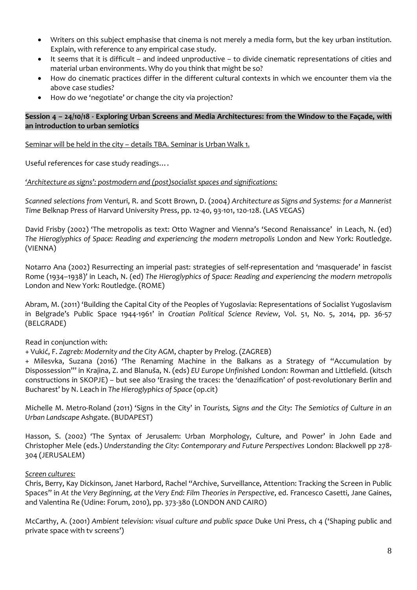- Writers on this subject emphasise that cinema is not merely a media form, but the key urban institution. Explain, with reference to any empirical case study.
- It seems that it is difficult and indeed unproductive to divide cinematic representations of cities and material urban environments. Why do you think that might be so?
- How do cinematic practices differ in the different cultural contexts in which we encounter them via the above case studies?
- How do we 'negotiate' or change the city via projection?

#### **Session 4 – 24/10/18 - Exploring Urban Screens and Media Architectures: from the Window to the Façade, with an introduction to urban semiotics**

Seminar will be held in the city - details TBA. Seminar is Urban Walk 1.

Useful references for case study readings….

*'Architecture as signs': postmodern and (post)socialist spaces and significations:*

*Scanned selections from* Venturi, R. and Scott Brown, D. (2004) *Architecture as Signs and Systems: for a Mannerist Time* Belknap Press of Harvard University Press, pp. 12-40, 93-101, 120-128. (LAS VEGAS)

David Frisby (2002) 'The metropolis as text: Otto Wagner and Vienna's 'Second Renaissance' in Leach, N. (ed) *The Hieroglyphics of Space: Reading and experiencing the modern metropolis* London and New York: Routledge. (VIENNA)

Notarro Ana (2002) Resurrecting an imperial past: strategies of self-representation and 'masquerade' in fascist Rome (1934–1938)' in Leach, N. (ed) *The Hieroglyphics of Space: Reading and experiencing the modern metropolis* London and New York: Routledge. (ROME)

Abram, M. (2011) 'Building the Capital City of the Peoples of Yugoslavia: Representations of Socialist Yugoslavism in Belgrade's Public Space 1944-1961' in *Croatian Political Science Review*, Vol. 51, No. 5, 2014, pp. 36-57 (BELGRADE)

Read in conjunction with:

+ Vukić, F. *Zagreb: Modernity and the City* AGM, chapter by Prelog. (ZAGREB)

+ Milesvka, Suzana (2016) 'The Renaming Machine in the Balkans as a Strategy of "Accumulation by Dispossession"' in Krajina, Z. and Blanuša, N. (eds) *EU Europe Unfinished* London: Rowman and Littlefield. (kitsch constructions in SKOPJE) – but see also 'Erasing the traces: the 'denazification' of post-revolutionary Berlin and Bucharest' by N. Leach in *The Hieroglyphics of Space* (op.cit)

Michelle M. Metro-Roland (2011) 'Signs in the City' in *Tourists, Signs and the City: The Semiotics of Culture in an Urban Landscape* Ashgate. (BUDAPEST)

Hasson, S. (2002) 'The Syntax of Jerusalem: Urban Morphology, Culture, and Power' in John Eade and Christopher Mele (eds.) *Understanding the City: Contemporary and Future Perspectives* London: Blackwell pp 278- 304 (JERUSALEM)

#### *Screen cultures:*

Chris, Berry, Kay Dickinson, Janet Harbord, Rachel "Archive, Surveillance, Attention: Tracking the Screen in Public Spaces" in *At the Very Beginning, at the Very End: Film Theories in Perspective*, ed. Francesco Casetti, Jane Gaines, and Valentina Re (Udine: Forum, 2010), pp. 373-380 (LONDON AND CAIRO)

McCarthy, A. (2001) *Ambient television: visual culture and public space* Duke Uni Press, ch 4 ('Shaping public and private space with tv screens')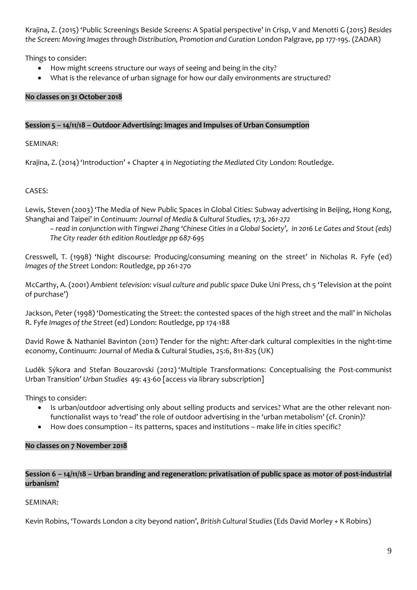Krajina, Z. (2015) 'Public Screenings Beside Screens: A Spatial perspective' in Crisp, V and Menotti G (2015) *Besides the Screen: Moving Images through Distribution, Promotion and Curation* London Palgrave, pp 177-195. (ZADAR)

Things to consider:

- How might screens structure our ways of seeing and being in the city?
- What is the relevance of urban signage for how our daily environments are structured?

## **No classes on 31 October 2018**

#### **Session 5 – 14/11/18 – Outdoor Advertising: Images and Impulses of Urban Consumption**

SEMINAR:

Krajina, Z. (2014) 'Introduction' + Chapter 4 in *Negotiating the Mediated City* London: Routledge.

## CASES:

Lewis, Steven (2003) 'The Media of New Public Spaces in Global Cities: Subway advertising in Beijing, Hong Kong, Shanghai and Taipei' in *Continuum: Journal of Media & Cultural Studies, 17:3, 261-272*

*– read in conjunction with Tingwei Zhang 'Chinese Cities in a Global Society', in 2016 Le Gates and Stout (eds) The City reader 6th edition Routledge pp 687-695*

Cresswell, T. (1998) 'Night discourse: Producing/consuming meaning on the street' in Nicholas R. Fyfe (ed) *Images of the Street* London: Routledge, pp 261-270

McCarthy, A. (2001) *Ambient television: visual culture and public space* Duke Uni Press, ch 5 'Television at the point of purchase')

Jackson, Peter (1998) 'Domesticating the Street: the contested spaces of the high street and the mall' in Nicholas R. Fyfe *Images of the Street* (ed) London: Routledge, pp 174-188

David Rowe & Nathaniel Bavinton (2011) Tender for the night: After-dark cultural complexities in the night-time economy, Continuum: Journal of Media & Cultural Studies, 25:6, 811-825 (UK)

[Luděk Sýkora](http://usj.sagepub.com/search?author1=Lud%C4%9Bk+S%C3%BDkora&sortspec=date&submit=Submit) and [Stefan Bouzarovski](http://usj.sagepub.com/search?author1=Stefan+Bouzarovski&sortspec=date&submit=Submit) (2012) 'Multiple Transformations: Conceptualising the Post-communist Urban Transition' *Urban Studies* 49: 43-60 [access via library subscription]

Things to consider:

- Is urban/outdoor advertising only about selling products and services? What are the other relevant nonfunctionalist ways to 'read' the role of outdoor advertising in the 'urban metabolism' (cf. Cronin)?
- How does consumption its patterns, spaces and institutions make life in cities specific?

#### **No classes on 7 November 2018**

## **Session 6 – 14/11/18 – Urban branding and regeneration: privatisation of public space as motor of post-industrial urbanism?**

#### SEMINAR:

Kevin Robins, 'Towards London a city beyond nation', *British Cultural Studies* (Eds David Morley + K Robins)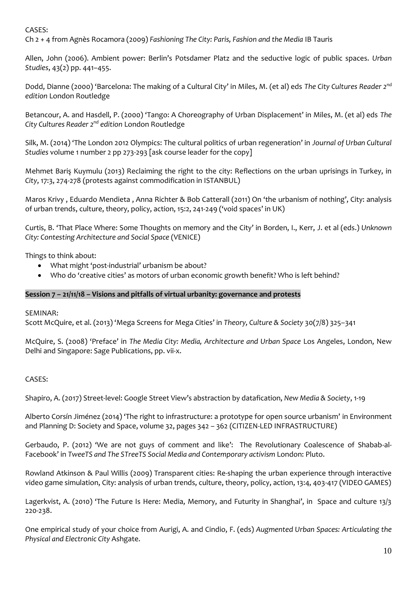#### CASES:

Ch 2 + 4 from Agnès Rocamora (2009) *Fashioning The City: Paris, Fashion and the Media* IB Tauris

Allen, John (2006). Ambient power: Berlin's Potsdamer Platz and the seductive logic of public spaces. *Urban Studies*, 43(2) pp. 441–455.

Dodd, Dianne (2000) 'Barcelona: The making of a Cultural City' in Miles, M. (et al) eds *The City Cultures Reader 2nd edition* London Routledge

Betancour, A. and Hasdell, P. (2000) 'Tango: A Choreography of Urban Displacement' in Miles, M. (et al) eds *The City Cultures Reader 2nd edition* London Routledge

Silk, M. (2014) 'The London 2012 Olympics: The cultural politics of urban regeneration' in *Journal of Urban Cultural Studies* volume 1 number 2 pp 273-293 [ask course leader for the copy]

Mehmet Bariş Kuymulu (2013) Reclaiming the right to the city: Reflections on the urban uprisings in Turkey, in *City*, 17:3, 274-278 (protests against commodification in ISTANBUL)

Maros Krivy , Eduardo Mendieta , Anna Richter & Bob Catterall (2011) On 'the urbanism of nothing', City: analysis of urban trends, culture, theory, policy, action, 15:2, 241-249 ('void spaces' in UK)

Curtis, B. 'That Place Where: Some Thoughts on memory and the City' in Borden, I., Kerr, J. et al (eds.) *Unknown City: Contesting Architecture and Social Space* (VENICE)

Things to think about:

- What might 'post-industrial' urbanism be about?
- Who do 'creative cities' as motors of urban economic growth benefit? Who is left behind?

#### **Session 7 – 21/11/18 – Visions and pitfalls of virtual urbanity: governance and protests**

#### SEMINAR:

Scott McQuire, et al. (2013) 'Mega Screens for Mega Cities' in *Theory, Culture & Society* 30(7/8) 325–341

McQuire, S. (2008) 'Preface' in *The Media City: Media, Architecture and Urban Space* Los Angeles, London, New Delhi and Singapore: Sage Publications, pp. vii-x.

#### CASES:

Shapiro, A. (2017) Street-level: Google Street View's abstraction by datafication, *New Media & Society*, 1-19

Alberto Corsín Jiménez (2014) 'The right to infrastructure: a prototype for open source urbanism' in Environment and Planning D: Society and Space, volume 32, pages 342 – 362 (CITIZEN-LED INFRASTRUCTURE)

Gerbaudo, P. (2012) 'We are not guys of comment and like': The Revolutionary Coalescence of Shabab-al-Facebook' in *TweeTS and The STreeTS Social Media and Contemporary activism* London: Pluto.

Rowland Atkinson & Paul Willis (2009) Transparent cities: Re‐shaping the urban experience through interactive video game simulation, City: analysis of urban trends, culture, theory, policy, action, 13:4, 403-417 (VIDEO GAMES)

Lagerkvist, A. (2010) 'The Future Is Here: Media, Memory, and Futurity in Shanghai', in Space and culture 13/3 220-238.

One empirical study of your choice from Aurigi, A. and Cindio, F. (eds) *Augmented Urban Spaces: Articulating the Physical and Electronic City* Ashgate.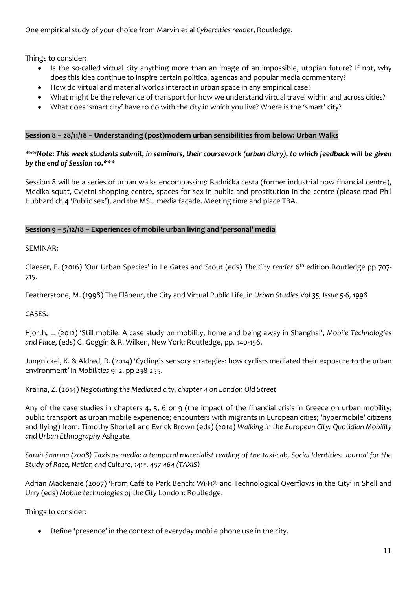One empirical study of your choice from Marvin et al *Cybercities reader*, Routledge.

Things to consider:

- Is the so-called virtual city anything more than an image of an impossible, utopian future? If not, why does this idea continue to inspire certain political agendas and popular media commentary?
- How do virtual and material worlds interact in urban space in any empirical case?
- What might be the relevance of transport for how we understand virtual travel within and across cities?
- What does 'smart city' have to do with the city in which you live? Where is the 'smart' city?

#### **Session 8 – 28/11/18 – Understanding (post)modern urban sensibilities from below: Urban Walks**

*\*\*\*Note: This week students submit, in seminars, their coursework (urban diary), to which feedback will be given by the end of Session 10.\*\*\**

Session 8 will be a series of urban walks encompassing: Radnička cesta (former industrial now financial centre), Medika squat, Cvjetni shopping centre, spaces for sex in public and prostitution in the centre (please read Phil Hubbard ch 4 'Public sex'), and the MSU media façade. Meeting time and place TBA.

## **Session 9 – 5/12/18 – Experiences of mobile urban living and 'personal' media**

SEMINAR:

Glaeser, E. (2016) 'Our Urban Species' in Le Gates and Stout (eds) *The City reader* 6 th edition Routledge pp 707- 715.

Featherstone, M. (1998) The Flâneur, the City and Virtual Public Life, in *Urban Studies Vol 35, Issue 5-6, 1998*

CASES:

Hjorth, L. (2012) 'Still mobile: A case study on mobility, home and being away in Shanghai', *Mobile Technologies and Place*, (eds) G. Goggin & R. Wilken, New York: Routledge, pp. 140-156.

Jungnickel, K. & Aldred, R. (2014) 'Cycling's sensory strategies: how cyclists mediated their exposure to the urban environment' in *Mobilities* 9: 2, pp 238-255.

Krajina, Z. (2014) *Negotiating the Mediated city, chapter 4 on London Old Street*

Any of the case studies in chapters 4, 5, 6 or 9 (the impact of the financial crisis in Greece on urban mobility; public transport as urban mobile experience; encounters with migrants in European cities; 'hypermobile' citizens and flying) from: Timothy Shortell and Evrick Brown (eds) (2014) *Walking in the European City: Quotidian Mobility and Urban Ethnography* Ashgate.

*Sarah Sharma (2008) Taxis as media: a temporal materialist reading of the taxi-cab, Social Identities: Journal for the Study of Race, Nation and Culture, 14:4, 457-464 (TAXIS)*

Adrian Mackenzie (2007) 'From Café to Park Bench: Wi-Fi® and Technological Overflows in the City' in Shell and Urry (eds) *Mobile technologies of the City* London: Routledge.

Things to consider:

• Define 'presence' in the context of everyday mobile phone use in the city.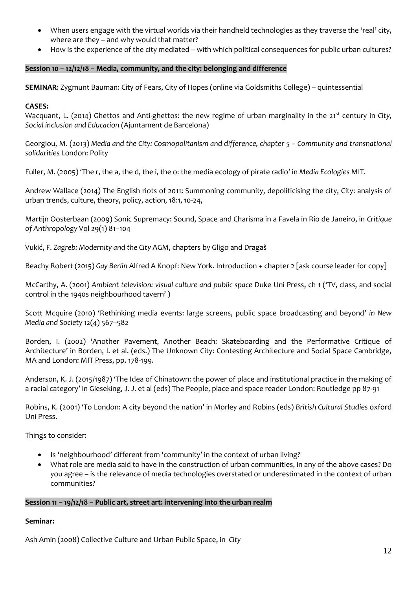- When users engage with the virtual worlds via their handheld technologies as they traverse the 'real' city, where are they – and why would that matter?
- How is the experience of the city mediated with which political consequences for public urban cultures?

## **Session 10 – 12/12/18 – Media, community, and the city: belonging and difference**

**SEMINAR**: Zygmunt Bauman: City of Fears, City of Hopes (online via Goldsmiths College) – quintessential

#### **CASES:**

Wacquant, L. (2014) Ghettos and Anti-ghettos: the new regime of urban marginality in the 21<sup>st</sup> century in *City*, *Social inclusion and Education* (Ajuntament de Barcelona)

Georgiou, M. (2013) *Media and the City: Cosmopolitanism and difference, chapter 5 – Community and transnational solidarities* London: Polity

Fuller, M. (2005) 'The r, the a, the d, the i, the o: the media ecology of pirate radio' in *Media Ecologies* MIT.

Andrew Wallace (2014) The English riots of 2011: Summoning community, depoliticising the city, City: analysis of urban trends, culture, theory, policy, action, 18:1, 10-24,

Martijn Oosterbaan (2009) Sonic Supremacy: Sound, Space and Charisma in a Favela in Rio de Janeiro, in *Critique of Anthropology* Vol 29(1) 81–104

Vukić, F. *Zagreb: Modernity and the City* AGM, chapters by Gligo and Dragaš

Beachy Robert (2015) *Gay Berlin* Alfred A Knopf: New York. Introduction + chapter 2 [ask course leader for copy]

McCarthy, A. (2001) *Ambient television: visual culture and public space* Duke Uni Press, ch 1 ('TV, class, and social control in the 1940s neighbourhood tavern' )

Scott Mcquire (2010) 'Rethinking media events: large screens, public space broadcasting and beyond' *in New Media and Society* 12(4) 567–582

Borden, I. (2002) 'Another Pavement, Another Beach: Skateboarding and the Performative Critique of Architecture' in Borden, I. et al. (eds.) The Unknown City: Contesting Architecture and Social Space Cambridge, MA and London: MIT Press, pp. 178-199.

Anderson, K. J. (2015/1987) 'The Idea of Chinatown: the power of place and institutional practice in the making of a racial category' in Gieseking, J. J. et al (eds) The People, place and space reader London: Routledge pp 87-91

Robins, K. (2001) 'To London: A city beyond the nation' in Morley and Robins (eds) *British Cultural Studies* oxford Uni Press.

Things to consider:

- Is 'neighbourhood' different from 'community' in the context of urban living?
- What role are media said to have in the construction of urban communities, in any of the above cases? Do you agree – is the relevance of media technologies overstated or underestimated in the context of urban communities?

#### **Session 11 – 19/12/18 – Public art, street art: intervening into the urban realm**

#### **Seminar:**

Ash Amin (2008) Collective Culture and Urban Public Space, in *City*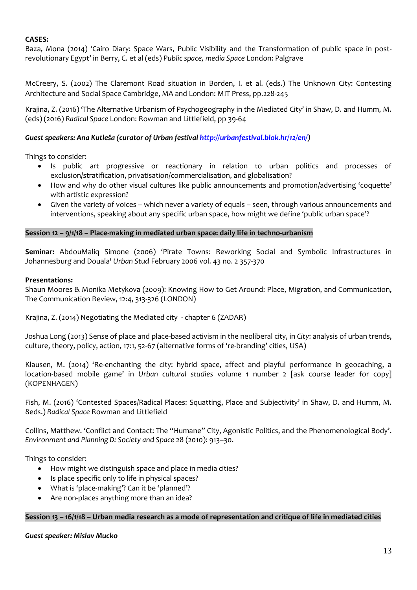#### **CASES:**

Baza, Mona (2014) 'Cairo Diary: Space Wars, Public Visibility and the Transformation of public space in postrevolutionary Egypt' in Berry, C. et al (eds) *Public space, media Space* London: Palgrave

McCreery, S. (2002) The Claremont Road situation in Borden, I. et al. (eds.) The Unknown City: Contesting Architecture and Social Space Cambridge, MA and London: MIT Press, pp.228-245

Krajina, Z. (2016) 'The Alternative Urbanism of Psychogeography in the Mediated City' in Shaw, D. and Humm, M. (eds) (2016) *Radical Space* London: Rowman and Littlefield, pp 39-64

## *Guest speakers: Ana Kutleša (curator of Urban festival [http://urbanfestival.blok.hr/12/en/\)](http://urbanfestival.blok.hr/12/en/)*

Things to consider:

- Is public art progressive or reactionary in relation to urban politics and processes of exclusion/stratification, privatisation/commercialisation, and globalisation?
- How and why do other visual cultures like public announcements and promotion/advertising 'coquette' with artistic expression?
- Given the variety of voices which never a variety of equals seen, through various announcements and interventions, speaking about any specific urban space, how might we define 'public urban space'?

#### **Session 12 – 9/1/18 – Place-making in mediated urban space: daily life in techno-urbanism**

**Seminar:** AbdouMaliq Simone (2006) 'Pirate Towns: Reworking Social and Symbolic Infrastructures in Johannesburg and Douala' *Urban Stud* February 2006 vol. 43 no. 2 357-370

#### **Presentations:**

Shaun Moores & Monika Metykova (2009): Knowing How to Get Around: Place, Migration, and Communication, The Communication Review, 12:4, 313-326 (LONDON)

Krajina, Z. (2014) Negotiating the Mediated city - chapter 6 (ZADAR)

Joshua Long (2013) Sense of place and place-based activism in the neoliberal city, in *City*: analysis of urban trends, culture, theory, policy, action, 17:1, 52-67 (alternative forms of 're-branding' cities, USA)

Klausen, M. (2014) 'Re-enchanting the city: hybrid space, affect and playful performance in geocaching, a location-based mobile game' in *Urban cultural studies* volume 1 number 2 [ask course leader for copy] (KOPENHAGEN)

Fish, M. (2016) 'Contested Spaces/Radical Places: Squatting, Place and Subjectivity' in Shaw, D. and Humm, M. 8eds.) *Radical Space* Rowman and Littlefield

Collins, Matthew. 'Conflict and Contact: The "Humane" City, Agonistic Politics, and the Phenomenological Body'. *Environment and Planning D: Society and Space* 28 (2010): 913–30.

Things to consider:

- How might we distinguish space and place in media cities?
- Is place specific only to life in physical spaces?
- What is 'place-making'? Can it be 'planned'?
- Are non-places anything more than an idea?

#### **Session 13 – 16/1/18 – Urban media research as a mode of representation and critique of life in mediated cities**

#### *Guest speaker: Mislav Mucko*